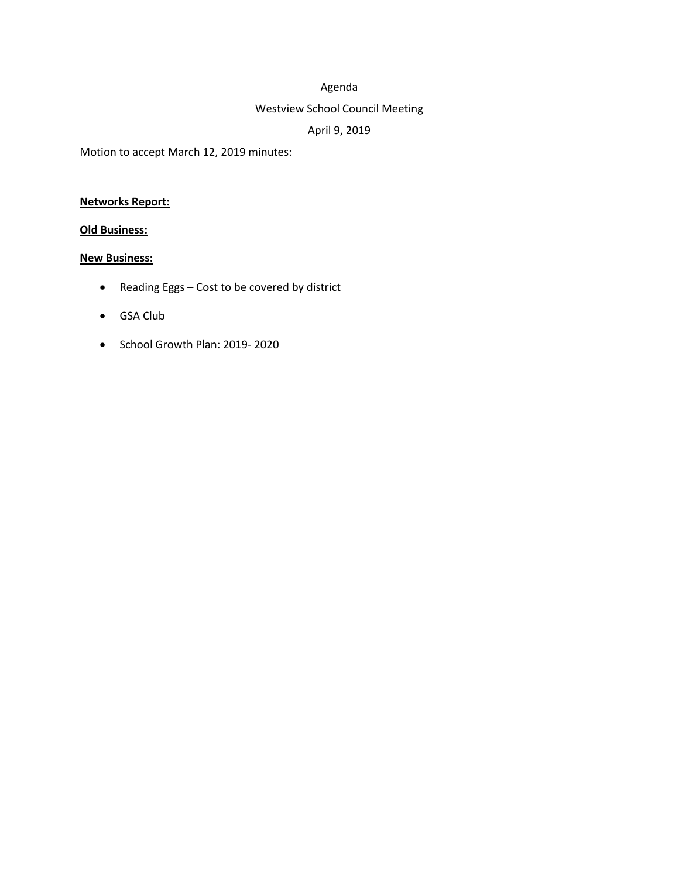## Agenda

### Westview School Council Meeting

# April 9, 2019

Motion to accept March 12, 2019 minutes:

## **Networks Report:**

### **Old Business:**

#### **New Business:**

- Reading Eggs Cost to be covered by district
- GSA Club
- School Growth Plan: 2019- 2020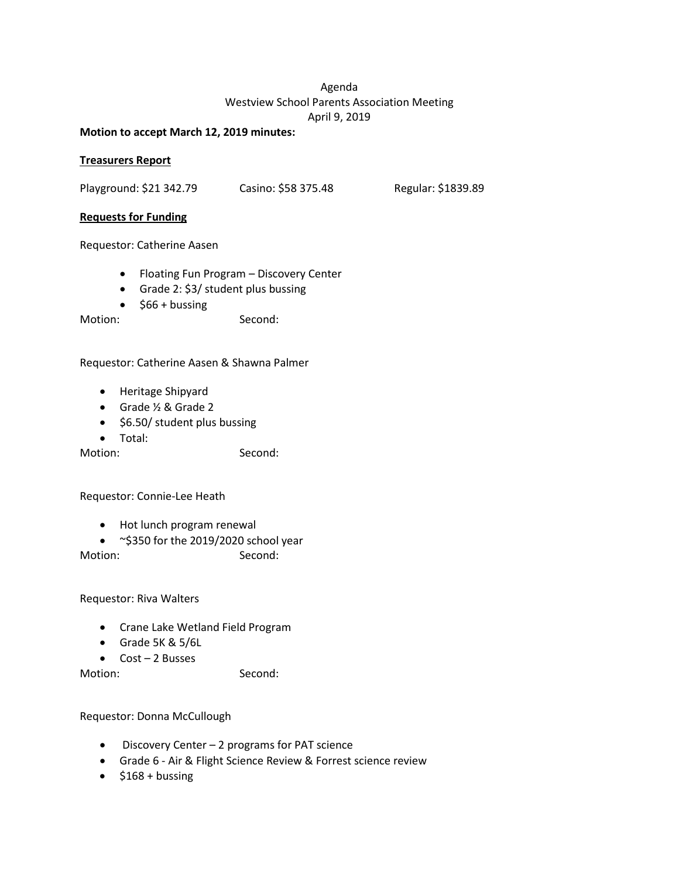### Agenda Westview School Parents Association Meeting April 9, 2019

#### **Motion to accept March 12, 2019 minutes:**

### **Treasurers Report**

Playground: \$21 342.79 Casino: \$58 375.48 Regular: \$1839.89

#### **Requests for Funding**

Requestor: Catherine Aasen

- Floating Fun Program Discovery Center
- Grade 2: \$3/ student plus bussing
- $\bullet$  \$66 + bussing

Motion: Second:

### Requestor: Catherine Aasen & Shawna Palmer

- Heritage Shipyard
- Grade ½ & Grade 2
- \$6.50/ student plus bussing
- Total:

Motion: Second:

Requestor: Connie-Lee Heath

- Hot lunch program renewal
- ~\$350 for the 2019/2020 school year

Motion: Second:

Requestor: Riva Walters

- Crane Lake Wetland Field Program
- Grade 5K & 5/6L
- Cost 2 Busses

Motion: Second:

Requestor: Donna McCullough

- Discovery Center 2 programs for PAT science
- Grade 6 Air & Flight Science Review & Forrest science review
- $\bullet$  \$168 + bussing